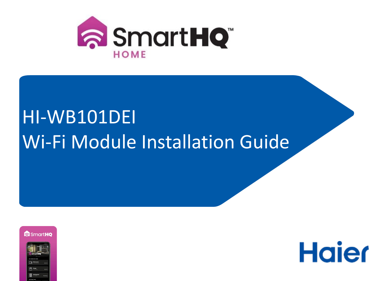

## HI-WB101DEI Wi-Fi Module Installation Guide





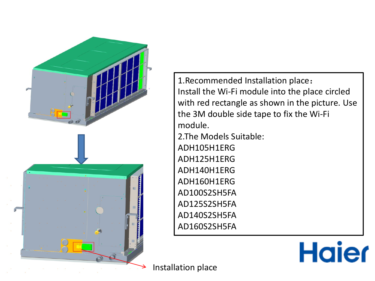

1.Recommended Installation place: Install the Wi-Fi module into the place circled with red rectangle as shown in the picture. Use the 3M double side tape to fix the Wi-Fi module.

2.The Models Suitable: ADH105H1ERG ADH125H1ERG ADH140H1ERG ADH160H1ERG AD100S2SH5FA AD125S2SH5FA AD140S2SH5FA AD160S2SH5FA

**Haier** 

Installation place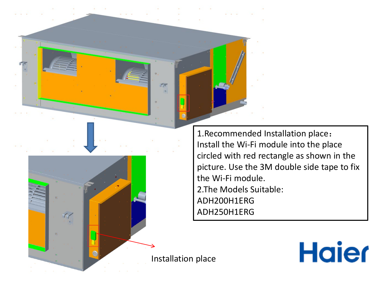1.Recommended Installation place: Install the Wi-Fi module into the place circled with red rectangle as shown in the picture. Use the 3M double side tape to fix the Wi-Fi module. 2.The Models Suitable: ADH200H1ERG ADH250H1ERG

**Haier** 

Installation place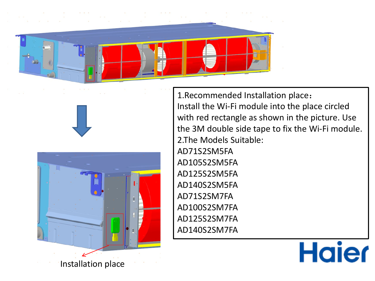





1.Recommended Installation place: Install the Wi-Fi module into the place circled with red rectangle as shown in the picture. Use the 3M double side tape to fix the Wi-Fi module. 2.The Models Suitable: AD71S2SM5FA AD105S2SM5FA AD125S2SM5FA AD140S2SM5FA AD71S2SM7FA AD100S2SM7FA AD125S2SM7FA AD140S2SM7FA

## **Haier**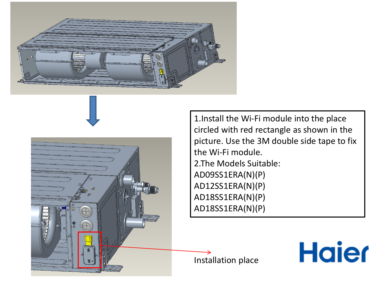



1.Install the Wi-Fi module into the place circled with red rectangle as shown in the picture. Use the 3M double side tape to fix the Wi-Fi module. 2.The Models Suitable: AD09SS1ERA(N)(P) AD12SS1ERA(N)(P) AD18SS1ERA(N)(P) AD18SS1ERA(N)(P)

**Haier** 

Installation place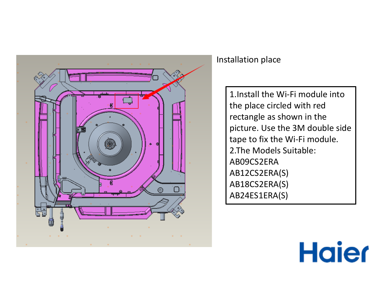

## Installation place

1.Install the Wi-Fi module into the place circled with red rectangle as shown in the picture. Use the 3M double side tape to fix the Wi-Fi module. 2.The Models Suitable: AB09CS2ERA AB12CS2ERA(S) AB18CS2ERA(S) AB24ES1ERA(S)

## **Haier**